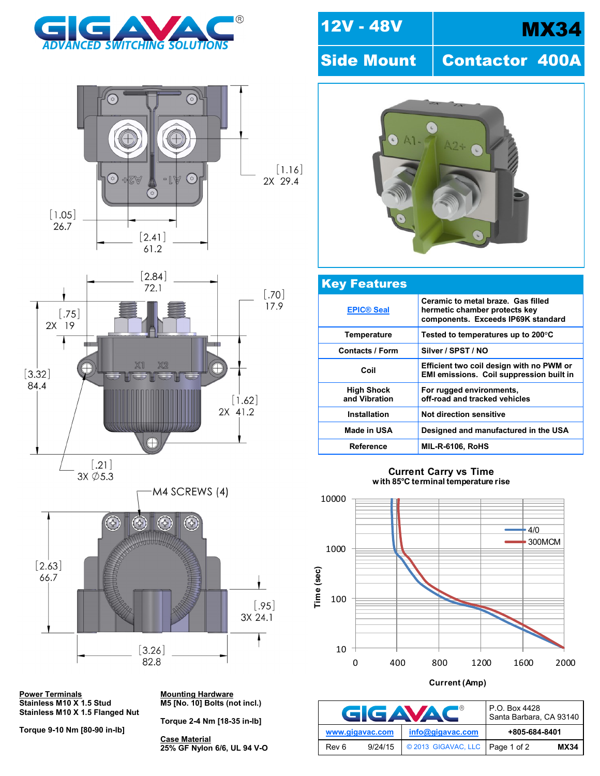







**Power Terminals<br>Stainless M10 X 1.5 Stud Stainless M10 X 1.5 Flanged Nut**

**Torque 9-10 Nm [80-90 in-lb]** 

**Mounting Hardware**<br>M5 [No. 10] Bolts (not incl.)

**Torque 2-4 Nm [18-35 in-lb]**

**Case Material 25% GF Nylon 6/6, UL 94 V-O**

## 12V - 48V | MX34

Side Mount | Contactor 400A



| <b>Key Features</b>                |                                                                                                           |
|------------------------------------|-----------------------------------------------------------------------------------------------------------|
| <b>EPIC® Seal</b>                  | Ceramic to metal braze. Gas filled<br>hermetic chamber protects key<br>components. Exceeds IP69K standard |
| Temperature                        | Tested to temperatures up to 200 $\mathrm{^{\circ}C}$                                                     |
| <b>Contacts / Form</b>             | Silver / SPST / NO                                                                                        |
| Coil                               | Efficient two coil design with no PWM or<br>EMI emissions. Coil suppression built in                      |
| <b>High Shock</b><br>and Vibration | For rugged environments,<br>off-road and tracked vehicles                                                 |
| Installation                       | Not direction sensitive                                                                                   |
| Made in USA                        | Designed and manufactured in the USA                                                                      |
| <b>Reference</b>                   | <b>MIL-R-6106, RoHS</b>                                                                                   |

**Current Carry vs Time with 85 C terminal temperature rise**



**Current (Amp)**

| I®<br>GIGAVA    |         |                     | P.O. Box 4428<br>Santa Barbara, CA 93140 |             |
|-----------------|---------|---------------------|------------------------------------------|-------------|
| www.gigavac.com |         | info@gigavac.com    | +805-684-8401                            |             |
| Rev 6           | 9/24/15 | © 2013 GIGAVAC, LLC | Page 1 of 2                              | <b>MX34</b> |